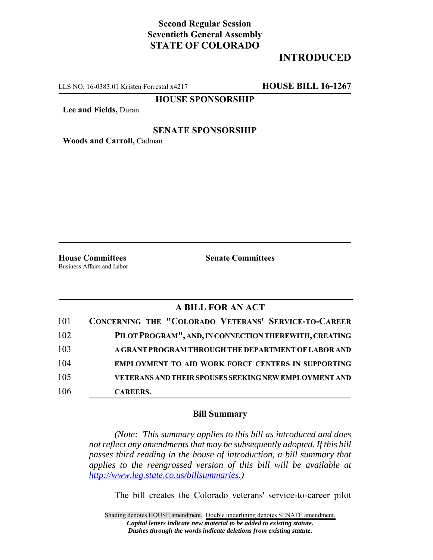# **Second Regular Session Seventieth General Assembly STATE OF COLORADO**

# **INTRODUCED**

LLS NO. 16-0383.01 Kristen Forrestal x4217 **HOUSE BILL 16-1267**

### **HOUSE SPONSORSHIP**

**Lee and Fields,** Duran

#### **SENATE SPONSORSHIP**

**Woods and Carroll,** Cadman

Business Affairs and Labor

**House Committees Senate Committees** 

### **A BILL FOR AN ACT**

| 101 | CONCERNING THE "COLORADO VETERANS' SERVICE-TO-CAREER         |
|-----|--------------------------------------------------------------|
| 102 | PILOT PROGRAM", AND, IN CONNECTION THEREWITH, CREATING       |
| 103 | A GRANT PROGRAM THROUGH THE DEPARTMENT OF LABOR AND          |
| 104 | <b>EMPLOYMENT TO AID WORK FORCE CENTERS IN SUPPORTING</b>    |
| 105 | <b>VETERANS AND THEIR SPOUSES SEEKING NEW EMPLOYMENT AND</b> |
| 106 | <b>CAREERS.</b>                                              |

#### **Bill Summary**

*(Note: This summary applies to this bill as introduced and does not reflect any amendments that may be subsequently adopted. If this bill passes third reading in the house of introduction, a bill summary that applies to the reengrossed version of this bill will be available at http://www.leg.state.co.us/billsummaries.)*

The bill creates the Colorado veterans' service-to-career pilot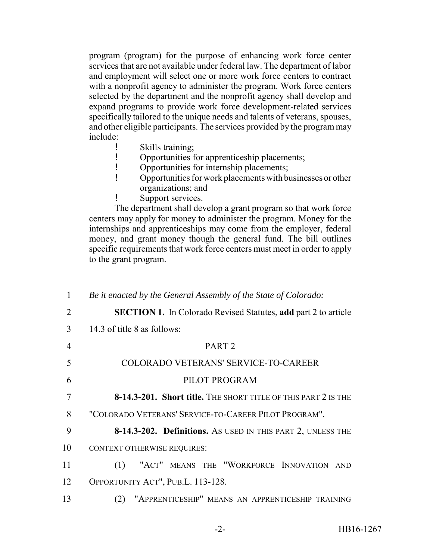program (program) for the purpose of enhancing work force center services that are not available under federal law. The department of labor and employment will select one or more work force centers to contract with a nonprofit agency to administer the program. Work force centers selected by the department and the nonprofit agency shall develop and expand programs to provide work force development-related services specifically tailored to the unique needs and talents of veterans, spouses, and other eligible participants. The services provided by the program may include:

- ! Skills training;
- ! Opportunities for apprenticeship placements;
- ! Opportunities for internship placements;
- ! Opportunities for work placements with businesses or other organizations; and
- ! Support services.

The department shall develop a grant program so that work force centers may apply for money to administer the program. Money for the internships and apprenticeships may come from the employer, federal money, and grant money though the general fund. The bill outlines specific requirements that work force centers must meet in order to apply to the grant program.

| $\mathbf{1}$   | Be it enacted by the General Assembly of the State of Colorado:       |
|----------------|-----------------------------------------------------------------------|
| 2              | <b>SECTION 1.</b> In Colorado Revised Statutes, add part 2 to article |
| 3              | 14.3 of title 8 as follows:                                           |
| $\overline{4}$ | PART <sub>2</sub>                                                     |
| 5              | COLORADO VETERANS' SERVICE-TO-CAREER                                  |
| 6              | PILOT PROGRAM                                                         |
| 7              | 8-14.3-201. Short title. THE SHORT TITLE OF THIS PART 2 IS THE        |
| 8              | "COLORADO VETERANS' SERVICE-TO-CAREER PILOT PROGRAM".                 |
| 9              | 8-14.3-202. Definitions. AS USED IN THIS PART 2, UNLESS THE           |
| 10             | <b>CONTEXT OTHERWISE REQUIRES:</b>                                    |
| 11             | (1) "ACT" MEANS THE "WORKFORCE INNOVATION AND                         |
| 12             | OPPORTUNITY ACT", PUB.L. 113-128.                                     |
| 13             | "APPRENTICESHIP" MEANS AN APPRENTICESHIP TRAINING<br>(2)              |
|                |                                                                       |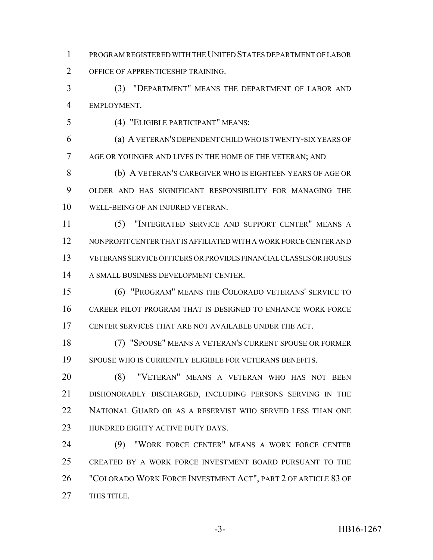PROGRAM REGISTERED WITH THE UNITED STATES DEPARTMENT OF LABOR OFFICE OF APPRENTICESHIP TRAINING.

 (3) "DEPARTMENT" MEANS THE DEPARTMENT OF LABOR AND EMPLOYMENT.

(4) "ELIGIBLE PARTICIPANT" MEANS:

 (a) A VETERAN'S DEPENDENT CHILD WHO IS TWENTY-SIX YEARS OF 7 AGE OR YOUNGER AND LIVES IN THE HOME OF THE VETERAN; AND

 (b) A VETERAN'S CAREGIVER WHO IS EIGHTEEN YEARS OF AGE OR OLDER AND HAS SIGNIFICANT RESPONSIBILITY FOR MANAGING THE WELL-BEING OF AN INJURED VETERAN.

 (5) "INTEGRATED SERVICE AND SUPPORT CENTER" MEANS A NONPROFIT CENTER THAT IS AFFILIATED WITH A WORK FORCE CENTER AND VETERANS SERVICE OFFICERS OR PROVIDES FINANCIAL CLASSES OR HOUSES A SMALL BUSINESS DEVELOPMENT CENTER.

 (6) "PROGRAM" MEANS THE COLORADO VETERANS' SERVICE TO CAREER PILOT PROGRAM THAT IS DESIGNED TO ENHANCE WORK FORCE CENTER SERVICES THAT ARE NOT AVAILABLE UNDER THE ACT.

 (7) "SPOUSE" MEANS A VETERAN'S CURRENT SPOUSE OR FORMER SPOUSE WHO IS CURRENTLY ELIGIBLE FOR VETERANS BENEFITS.

 (8) "VETERAN" MEANS A VETERAN WHO HAS NOT BEEN DISHONORABLY DISCHARGED, INCLUDING PERSONS SERVING IN THE NATIONAL GUARD OR AS A RESERVIST WHO SERVED LESS THAN ONE 23 HUNDRED EIGHTY ACTIVE DUTY DAYS.

 (9) "WORK FORCE CENTER" MEANS A WORK FORCE CENTER CREATED BY A WORK FORCE INVESTMENT BOARD PURSUANT TO THE "COLORADO WORK FORCE INVESTMENT ACT", PART 2 OF ARTICLE 83 OF THIS TITLE.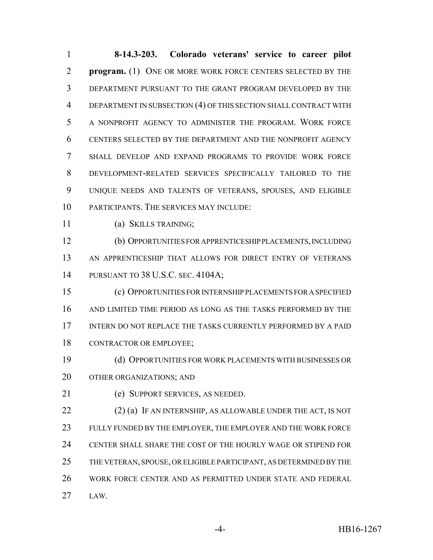**8-14.3-203. Colorado veterans' service to career pilot program.** (1) ONE OR MORE WORK FORCE CENTERS SELECTED BY THE DEPARTMENT PURSUANT TO THE GRANT PROGRAM DEVELOPED BY THE DEPARTMENT IN SUBSECTION (4) OF THIS SECTION SHALL CONTRACT WITH A NONPROFIT AGENCY TO ADMINISTER THE PROGRAM. WORK FORCE CENTERS SELECTED BY THE DEPARTMENT AND THE NONPROFIT AGENCY SHALL DEVELOP AND EXPAND PROGRAMS TO PROVIDE WORK FORCE DEVELOPMENT-RELATED SERVICES SPECIFICALLY TAILORED TO THE UNIQUE NEEDS AND TALENTS OF VETERANS, SPOUSES, AND ELIGIBLE PARTICIPANTS. THE SERVICES MAY INCLUDE:

(a) SKILLS TRAINING;

 (b) OPPORTUNITIES FOR APPRENTICESHIP PLACEMENTS, INCLUDING AN APPRENTICESHIP THAT ALLOWS FOR DIRECT ENTRY OF VETERANS PURSUANT TO 38 U.S.C. SEC. 4104A;

 (c) OPPORTUNITIES FOR INTERNSHIP PLACEMENTS FOR A SPECIFIED AND LIMITED TIME PERIOD AS LONG AS THE TASKS PERFORMED BY THE INTERN DO NOT REPLACE THE TASKS CURRENTLY PERFORMED BY A PAID CONTRACTOR OR EMPLOYEE;

 (d) OPPORTUNITIES FOR WORK PLACEMENTS WITH BUSINESSES OR OTHER ORGANIZATIONS; AND

(e) SUPPORT SERVICES, AS NEEDED.

 (2) (a) IF AN INTERNSHIP, AS ALLOWABLE UNDER THE ACT, IS NOT FULLY FUNDED BY THE EMPLOYER, THE EMPLOYER AND THE WORK FORCE CENTER SHALL SHARE THE COST OF THE HOURLY WAGE OR STIPEND FOR THE VETERAN, SPOUSE, OR ELIGIBLE PARTICIPANT, AS DETERMINED BY THE WORK FORCE CENTER AND AS PERMITTED UNDER STATE AND FEDERAL LAW.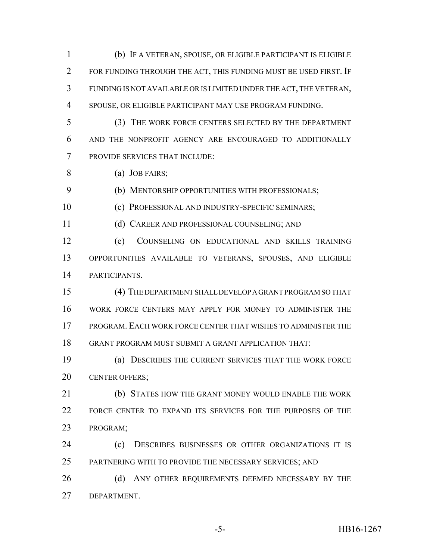(b) IF A VETERAN, SPOUSE, OR ELIGIBLE PARTICIPANT IS ELIGIBLE FOR FUNDING THROUGH THE ACT, THIS FUNDING MUST BE USED FIRST. IF FUNDING IS NOT AVAILABLE OR IS LIMITED UNDER THE ACT, THE VETERAN, SPOUSE, OR ELIGIBLE PARTICIPANT MAY USE PROGRAM FUNDING.

- (3) THE WORK FORCE CENTERS SELECTED BY THE DEPARTMENT AND THE NONPROFIT AGENCY ARE ENCOURAGED TO ADDITIONALLY PROVIDE SERVICES THAT INCLUDE:
- (a) JOB FAIRS;

(b) MENTORSHIP OPPORTUNITIES WITH PROFESSIONALS;

(c) PROFESSIONAL AND INDUSTRY-SPECIFIC SEMINARS;

(d) CAREER AND PROFESSIONAL COUNSELING; AND

 (e) COUNSELING ON EDUCATIONAL AND SKILLS TRAINING OPPORTUNITIES AVAILABLE TO VETERANS, SPOUSES, AND ELIGIBLE PARTICIPANTS.

 (4) THE DEPARTMENT SHALL DEVELOP A GRANT PROGRAM SO THAT WORK FORCE CENTERS MAY APPLY FOR MONEY TO ADMINISTER THE PROGRAM. EACH WORK FORCE CENTER THAT WISHES TO ADMINISTER THE GRANT PROGRAM MUST SUBMIT A GRANT APPLICATION THAT:

 (a) DESCRIBES THE CURRENT SERVICES THAT THE WORK FORCE CENTER OFFERS;

 (b) STATES HOW THE GRANT MONEY WOULD ENABLE THE WORK FORCE CENTER TO EXPAND ITS SERVICES FOR THE PURPOSES OF THE PROGRAM;

**(c)** DESCRIBES BUSINESSES OR OTHER ORGANIZATIONS IT IS PARTNERING WITH TO PROVIDE THE NECESSARY SERVICES; AND

26 (d) ANY OTHER REQUIREMENTS DEEMED NECESSARY BY THE DEPARTMENT.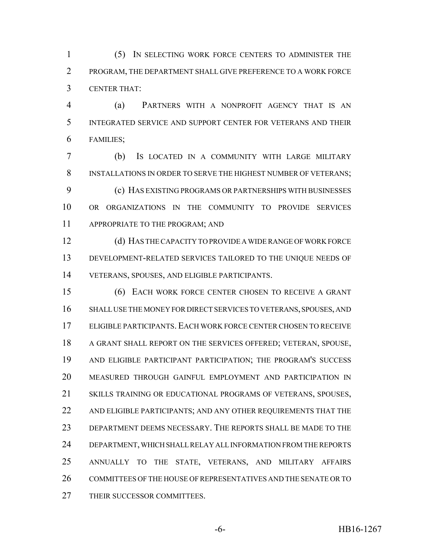(5) IN SELECTING WORK FORCE CENTERS TO ADMINISTER THE PROGRAM, THE DEPARTMENT SHALL GIVE PREFERENCE TO A WORK FORCE CENTER THAT:

 (a) PARTNERS WITH A NONPROFIT AGENCY THAT IS AN INTEGRATED SERVICE AND SUPPORT CENTER FOR VETERANS AND THEIR FAMILIES;

 (b) IS LOCATED IN A COMMUNITY WITH LARGE MILITARY INSTALLATIONS IN ORDER TO SERVE THE HIGHEST NUMBER OF VETERANS; (c) HAS EXISTING PROGRAMS OR PARTNERSHIPS WITH BUSINESSES OR ORGANIZATIONS IN THE COMMUNITY TO PROVIDE SERVICES 11 APPROPRIATE TO THE PROGRAM; AND

 (d) HAS THE CAPACITY TO PROVIDE A WIDE RANGE OF WORK FORCE DEVELOPMENT-RELATED SERVICES TAILORED TO THE UNIQUE NEEDS OF VETERANS, SPOUSES, AND ELIGIBLE PARTICIPANTS.

 (6) EACH WORK FORCE CENTER CHOSEN TO RECEIVE A GRANT SHALL USE THE MONEY FOR DIRECT SERVICES TO VETERANS, SPOUSES, AND ELIGIBLE PARTICIPANTS. EACH WORK FORCE CENTER CHOSEN TO RECEIVE A GRANT SHALL REPORT ON THE SERVICES OFFERED; VETERAN, SPOUSE, AND ELIGIBLE PARTICIPANT PARTICIPATION; THE PROGRAM'S SUCCESS MEASURED THROUGH GAINFUL EMPLOYMENT AND PARTICIPATION IN SKILLS TRAINING OR EDUCATIONAL PROGRAMS OF VETERANS, SPOUSES, 22 AND ELIGIBLE PARTICIPANTS; AND ANY OTHER REQUIREMENTS THAT THE DEPARTMENT DEEMS NECESSARY. THE REPORTS SHALL BE MADE TO THE DEPARTMENT, WHICH SHALL RELAY ALL INFORMATION FROM THE REPORTS ANNUALLY TO THE STATE, VETERANS, AND MILITARY AFFAIRS COMMITTEES OF THE HOUSE OF REPRESENTATIVES AND THE SENATE OR TO THEIR SUCCESSOR COMMITTEES.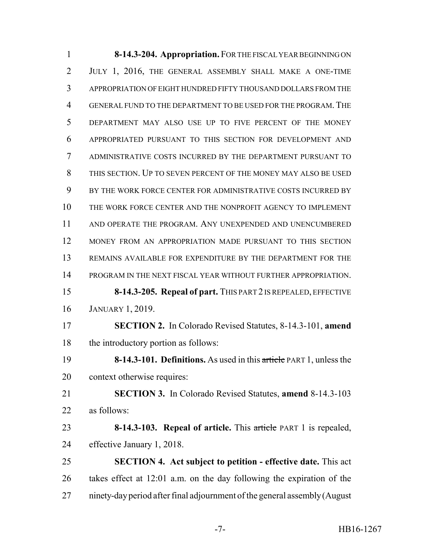**8-14.3-204. Appropriation.** FOR THE FISCAL YEAR BEGINNING ON JULY 1, 2016, THE GENERAL ASSEMBLY SHALL MAKE A ONE-TIME APPROPRIATION OF EIGHT HUNDRED FIFTY THOUSAND DOLLARS FROM THE GENERAL FUND TO THE DEPARTMENT TO BE USED FOR THE PROGRAM.THE DEPARTMENT MAY ALSO USE UP TO FIVE PERCENT OF THE MONEY APPROPRIATED PURSUANT TO THIS SECTION FOR DEVELOPMENT AND ADMINISTRATIVE COSTS INCURRED BY THE DEPARTMENT PURSUANT TO THIS SECTION. UP TO SEVEN PERCENT OF THE MONEY MAY ALSO BE USED BY THE WORK FORCE CENTER FOR ADMINISTRATIVE COSTS INCURRED BY THE WORK FORCE CENTER AND THE NONPROFIT AGENCY TO IMPLEMENT AND OPERATE THE PROGRAM. ANY UNEXPENDED AND UNENCUMBERED MONEY FROM AN APPROPRIATION MADE PURSUANT TO THIS SECTION REMAINS AVAILABLE FOR EXPENDITURE BY THE DEPARTMENT FOR THE PROGRAM IN THE NEXT FISCAL YEAR WITHOUT FURTHER APPROPRIATION. **8-14.3-205. Repeal of part.** THIS PART 2 IS REPEALED, EFFECTIVE JANUARY 1, 2019. **SECTION 2.** In Colorado Revised Statutes, 8-14.3-101, **amend** the introductory portion as follows: **8-14.3-101. Definitions.** As used in this article PART 1, unless the context otherwise requires: **SECTION 3.** In Colorado Revised Statutes, **amend** 8-14.3-103 as follows: **8-14.3-103. Repeal of article.** This article PART 1 is repealed, effective January 1, 2018. **SECTION 4. Act subject to petition - effective date.** This act takes effect at 12:01 a.m. on the day following the expiration of the ninety-day period after final adjournment of the general assembly (August

-7- HB16-1267